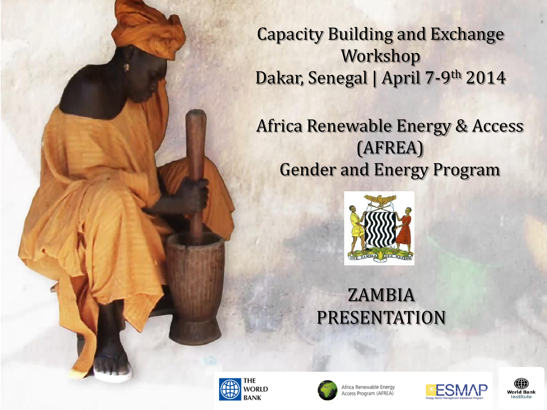Capacity Building and Exchange Workshop Dakar, Senegal | April 7-9th 2014

Africa Renewable Energy & Access (AFREA) Gender and Energy Program



## ZAMBIA PRESENTATION





Africa Renewable Energy ccess Program (AFREA)



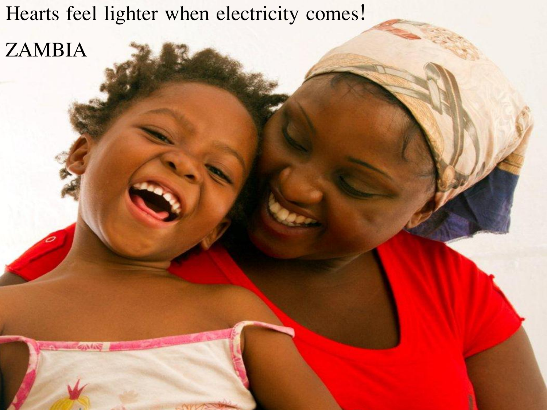Hearts feel lighter when electricity comes!

ZAMBIA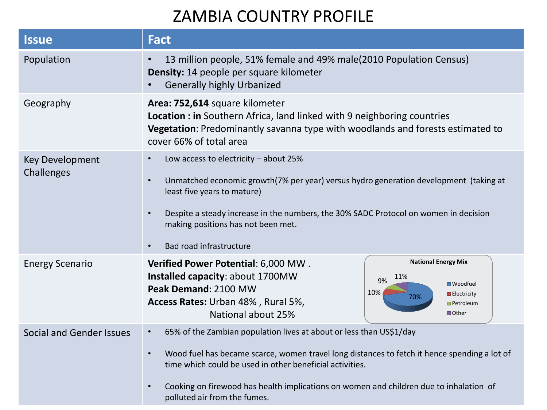#### ZAMBIA COUNTRY PROFILE

| <b>Issue</b>                         | <b>Fact</b>                                                                                                                                                                                                                                                                                                                                                                                      |
|--------------------------------------|--------------------------------------------------------------------------------------------------------------------------------------------------------------------------------------------------------------------------------------------------------------------------------------------------------------------------------------------------------------------------------------------------|
| Population                           | 13 million people, 51% female and 49% male(2010 Population Census)<br><b>Density:</b> 14 people per square kilometer<br><b>Generally highly Urbanized</b>                                                                                                                                                                                                                                        |
| Geography                            | Area: 752,614 square kilometer<br>Location : in Southern Africa, land linked with 9 neighboring countries<br>Vegetation: Predominantly savanna type with woodlands and forests estimated to<br>cover 66% of total area                                                                                                                                                                           |
| <b>Key Development</b><br>Challenges | Low access to electricity - about 25%<br>Unmatched economic growth(7% per year) versus hydro generation development (taking at<br>$\bullet$<br>least five years to mature)<br>Despite a steady increase in the numbers, the 30% SADC Protocol on women in decision<br>$\bullet$<br>making positions has not been met.<br>Bad road infrastructure<br>$\bullet$                                    |
| <b>Energy Scenario</b>               | <b>National Energy Mix</b><br>Verified Power Potential: 6,000 MW.<br>Installed capacity: about 1700MW<br>11%<br>9%<br><b>■</b> Woodfuel<br>Peak Demand: 2100 MW<br>10%<br>$\blacksquare$ Electricity<br>70%<br>Access Rates: Urban 48%, Rural 5%,<br><b>Petroleum</b><br>National about 25%<br><b>■</b> Other                                                                                    |
| Social and Gender Issues             | 65% of the Zambian population lives at about or less than US\$1/day<br>$\bullet$<br>Wood fuel has became scarce, women travel long distances to fetch it hence spending a lot of<br>$\bullet$<br>time which could be used in other beneficial activities.<br>Cooking on firewood has health implications on women and children due to inhalation of<br>$\bullet$<br>polluted air from the fumes. |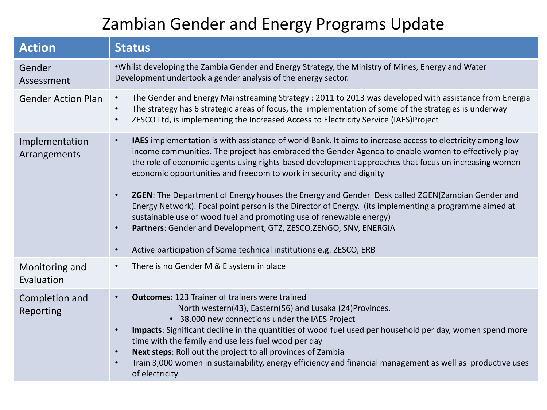#### Zambian Gender and Energy Programs Update

| <b>Action</b>                  | <b>Status</b>                                                                                                                                                                                                                                                                                                                                                                                                                                                                                                                                                                                                                                                                                                                                                                                                                                                                    |
|--------------------------------|----------------------------------------------------------------------------------------------------------------------------------------------------------------------------------------------------------------------------------------------------------------------------------------------------------------------------------------------------------------------------------------------------------------------------------------------------------------------------------------------------------------------------------------------------------------------------------------------------------------------------------------------------------------------------------------------------------------------------------------------------------------------------------------------------------------------------------------------------------------------------------|
| Gender<br>Assessment           | . Whilst developing the Zambia Gender and Energy Strategy, the Ministry of Mines, Energy and Water<br>Development undertook a gender analysis of the energy sector.                                                                                                                                                                                                                                                                                                                                                                                                                                                                                                                                                                                                                                                                                                              |
| <b>Gender Action Plan</b>      | The Gender and Energy Mainstreaming Strategy: 2011 to 2013 was developed with assistance from Energia<br>$\bullet$<br>The strategy has 6 strategic areas of focus, the implementation of some of the strategies is underway<br>$\bullet$<br>ZESCO Ltd, is implementing the Increased Access to Electricity Service (IAES)Project                                                                                                                                                                                                                                                                                                                                                                                                                                                                                                                                                 |
| Implementation<br>Arrangements | IAES implementation is with assistance of world Bank. It aims to increase access to electricity among low<br>$\bullet$<br>income communities. The project has embraced the Gender Agenda to enable women to effectively play<br>the role of economic agents using rights-based development approaches that focus on increasing women<br>economic opportunities and freedom to work in security and dignity<br>ZGEN: The Department of Energy houses the Energy and Gender Desk called ZGEN(Zambian Gender and<br>$\bullet$<br>Energy Network). Focal point person is the Director of Energy. (its implementing a programme aimed at<br>sustainable use of wood fuel and promoting use of renewable energy)<br>Partners: Gender and Development, GTZ, ZESCO, ZENGO, SNV, ENERGIA<br>$\bullet$<br>Active participation of Some technical institutions e.g. ZESCO, ERB<br>$\bullet$ |
| Monitoring and<br>Evaluation   | There is no Gender M & E system in place                                                                                                                                                                                                                                                                                                                                                                                                                                                                                                                                                                                                                                                                                                                                                                                                                                         |
| Completion and<br>Reporting    | <b>Outcomes: 123 Trainer of trainers were trained</b><br>$\bullet$<br>North western(43), Eastern(56) and Lusaka (24) Provinces.<br>38,000 new connections under the IAES Project<br>$\bullet$<br>Impacts: Significant decline in the quantities of wood fuel used per household per day, women spend more<br>$\bullet$<br>time with the family and use less fuel wood per day<br>Next steps: Roll out the project to all provinces of Zambia<br>$\bullet$<br>Train 3,000 women in sustainability, energy efficiency and financial management as well as productive uses<br>of electricity                                                                                                                                                                                                                                                                                        |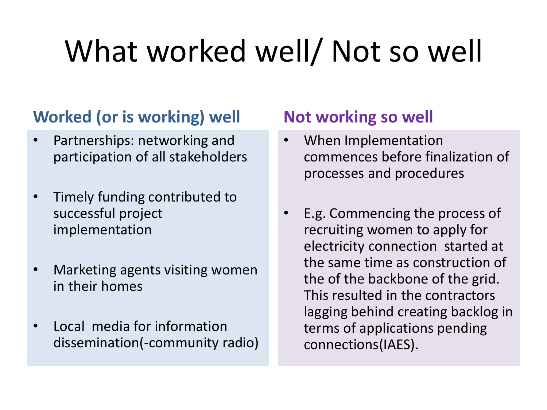# What worked well/ Not so well

#### **Worked (or is working) well**

- Partnerships: networking and participation of all stakeholders
- Timely funding contributed to successful project implementation
- Marketing agents visiting women in their homes
- Local media for information dissemination(-community radio)

#### **Not working so well**

- When Implementation commences before finalization of processes and procedures
- E.g. Commencing the process of recruiting women to apply for electricity connection started at the same time as construction of the of the backbone of the grid. This resulted in the contractors lagging behind creating backlog in terms of applications pending connections(IAES).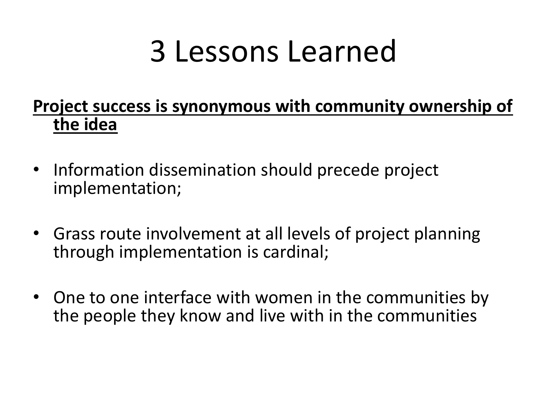# 3 Lessons Learned

#### **Project success is synonymous with community ownership of the idea**

- Information dissemination should precede project implementation;
- Grass route involvement at all levels of project planning through implementation is cardinal;
- One to one interface with women in the communities by the people they know and live with in the communities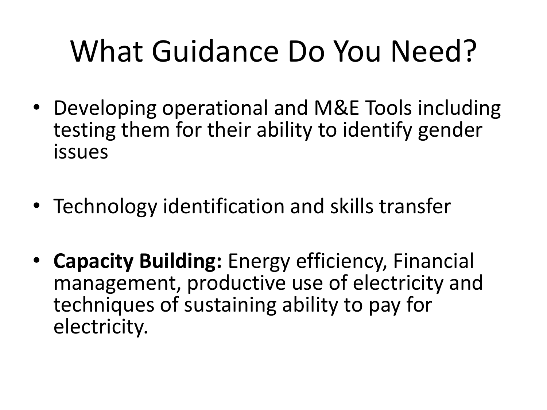# What Guidance Do You Need?

- Developing operational and M&E Tools including testing them for their ability to identify gender issues
- Technology identification and skills transfer
- **Capacity Building:** Energy efficiency, Financial management, productive use of electricity and techniques of sustaining ability to pay for electricity.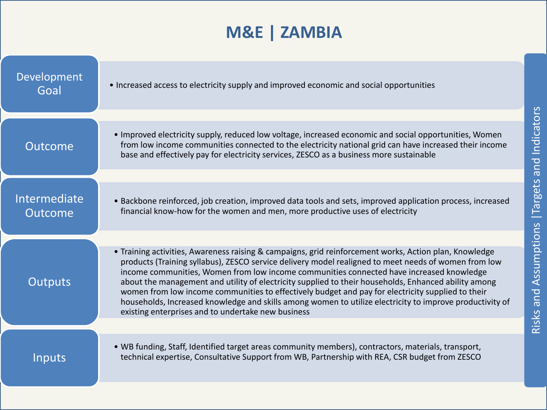### **M&E | ZAMBIA**

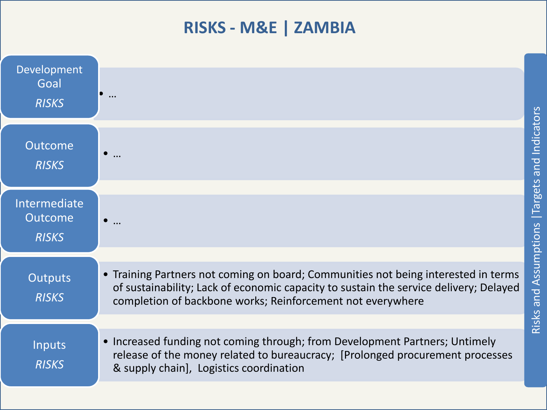#### **RISKS - M&E | ZAMBIA**

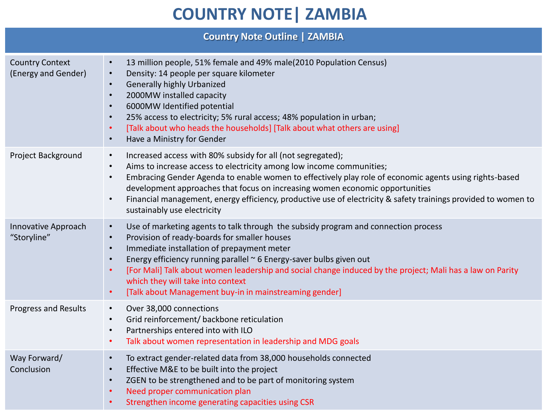#### **COUNTRY NOTE | ZAMBIA**

| <b>Country Note Outline   ZAMBIA</b>          |                                                                                                                                                                                                                                                                                                                                                                                                                                                                                                                                                   |  |
|-----------------------------------------------|---------------------------------------------------------------------------------------------------------------------------------------------------------------------------------------------------------------------------------------------------------------------------------------------------------------------------------------------------------------------------------------------------------------------------------------------------------------------------------------------------------------------------------------------------|--|
| <b>Country Context</b><br>(Energy and Gender) | 13 million people, 51% female and 49% male(2010 Population Census)<br>$\bullet$<br>Density: 14 people per square kilometer<br>$\bullet$<br><b>Generally highly Urbanized</b><br>$\bullet$<br>2000MW installed capacity<br>$\bullet$<br>6000MW Identified potential<br>$\bullet$<br>25% access to electricity; 5% rural access; 48% population in urban;<br>$\bullet$<br>[Talk about who heads the households] [Talk about what others are using]<br>$\bullet$<br>Have a Ministry for Gender<br>$\bullet$                                          |  |
| Project Background                            | Increased access with 80% subsidy for all (not segregated);<br>$\bullet$<br>Aims to increase access to electricity among low income communities;<br>$\bullet$<br>Embracing Gender Agenda to enable women to effectively play role of economic agents using rights-based<br>$\bullet$<br>development approaches that focus on increasing women economic opportunities<br>Financial management, energy efficiency, productive use of electricity & safety trainings provided to women to<br>$\bullet$<br>sustainably use electricity                |  |
| Innovative Approach<br>"Storyline"            | Use of marketing agents to talk through the subsidy program and connection process<br>$\bullet$<br>Provision of ready-boards for smaller houses<br>$\bullet$<br>Immediate installation of prepayment meter<br>$\bullet$<br>Energy efficiency running parallel ~ 6 Energy-saver bulbs given out<br>$\bullet$<br>[For Mali] Talk about women leadership and social change induced by the project; Mali has a law on Parity<br>$\bullet$<br>which they will take into context<br>[Talk about Management buy-in in mainstreaming gender]<br>$\bullet$ |  |
| <b>Progress and Results</b>                   | Over 38,000 connections<br>$\bullet$<br>Grid reinforcement/ backbone reticulation<br>$\bullet$<br>Partnerships entered into with ILO<br>$\bullet$<br>Talk about women representation in leadership and MDG goals<br>$\bullet$                                                                                                                                                                                                                                                                                                                     |  |
| Way Forward/<br>Conclusion                    | To extract gender-related data from 38,000 households connected<br>$\bullet$<br>Effective M&E to be built into the project<br>$\bullet$<br>ZGEN to be strengthened and to be part of monitoring system<br>$\bullet$<br>Need proper communication plan<br>$\bullet$<br>Strengthen income generating capacities using CSR<br>$\bullet$                                                                                                                                                                                                              |  |